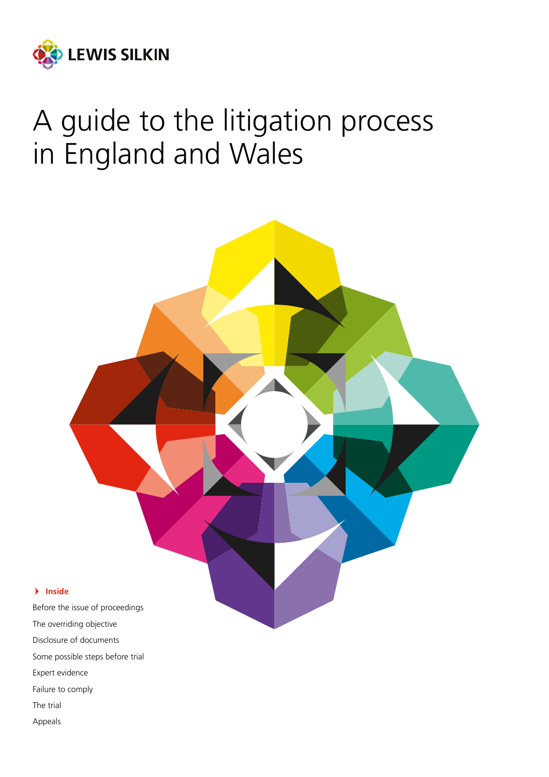

# A guide to the litigation process in England and Wales



The trial

Appeals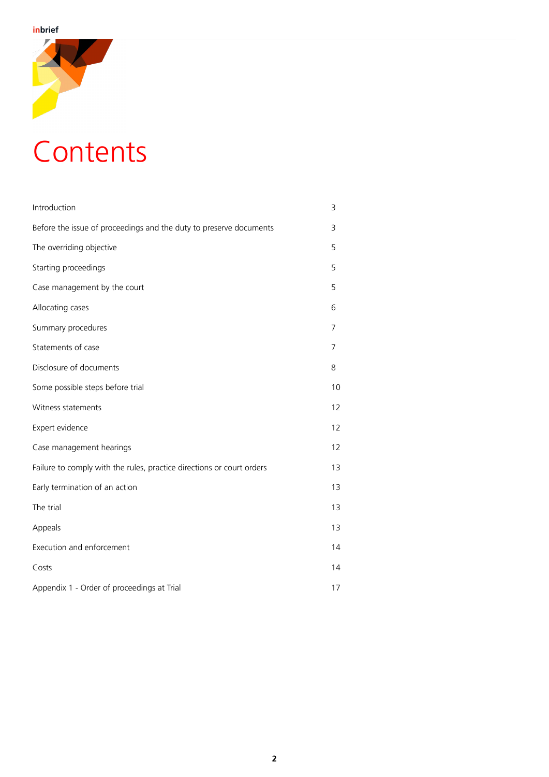

# **Contents**

| Introduction                                                          | 3  |
|-----------------------------------------------------------------------|----|
| Before the issue of proceedings and the duty to preserve documents    | 3  |
| The overriding objective                                              | 5  |
| Starting proceedings                                                  | 5  |
| Case management by the court                                          | 5  |
| Allocating cases                                                      | 6  |
| Summary procedures                                                    | 7  |
| Statements of case                                                    | 7  |
| Disclosure of documents                                               | 8  |
| Some possible steps before trial                                      | 10 |
| Witness statements                                                    | 12 |
| Expert evidence                                                       | 12 |
| Case management hearings                                              | 12 |
| Failure to comply with the rules, practice directions or court orders | 13 |
| Early termination of an action                                        | 13 |
| The trial                                                             | 13 |
| Appeals                                                               | 13 |
| Execution and enforcement                                             | 14 |
| Costs                                                                 | 14 |
| Appendix 1 - Order of proceedings at Trial                            | 17 |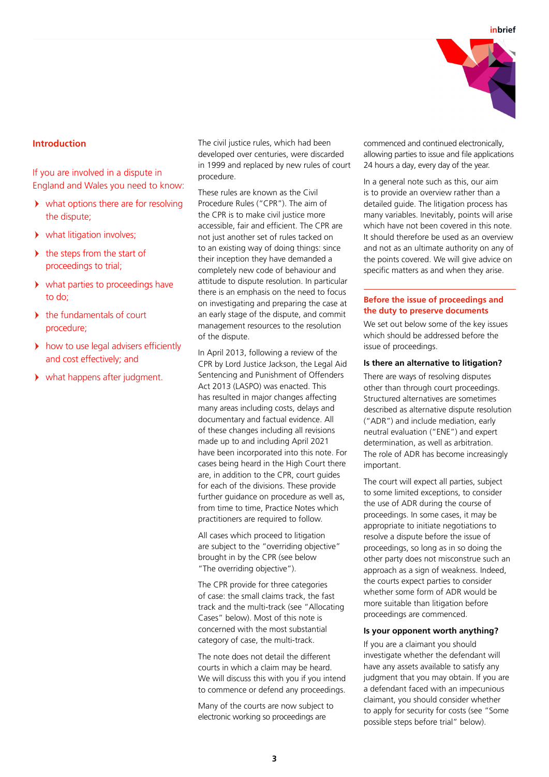

# **Introduction**

If you are involved in a dispute in England and Wales you need to know:

- what options there are for resolving the dispute;
- what litigation involves;
- $\blacktriangleright$  the steps from the start of proceedings to trial;
- what parties to proceedings have to do;
- the fundamentals of court procedure;
- how to use legal advisers efficiently and cost effectively; and
- what happens after judgment.

The civil justice rules, which had been developed over centuries, were discarded in 1999 and replaced by new rules of court procedure.

These rules are known as the Civil Procedure Rules ("CPR"). The aim of the CPR is to make civil justice more accessible, fair and efficient. The CPR are not just another set of rules tacked on to an existing way of doing things: since their inception they have demanded a completely new code of behaviour and attitude to dispute resolution. In particular there is an emphasis on the need to focus on investigating and preparing the case at an early stage of the dispute, and commit management resources to the resolution of the dispute.

In April 2013, following a review of the CPR by Lord Justice Jackson, the Legal Aid Sentencing and Punishment of Offenders Act 2013 (LASPO) was enacted. This has resulted in major changes affecting many areas including costs, delays and documentary and factual evidence. All of these changes including all revisions made up to and including April 2021 have been incorporated into this note. For cases being heard in the High Court there are, in addition to the CPR, court quides for each of the divisions. These provide further guidance on procedure as well as, from time to time, Practice Notes which practitioners are required to follow.

All cases which proceed to litigation are subject to the "overriding objective" brought in by the CPR (see below "The overriding objective").

The CPR provide for three categories of case: the small claims track, the fast track and the multi-track (see "Allocating Cases" below). Most of this note is concerned with the most substantial category of case, the multi-track.

The note does not detail the different courts in which a claim may be heard. We will discuss this with you if you intend to commence or defend any proceedings.

Many of the courts are now subject to electronic working so proceedings are

commenced and continued electronically, allowing parties to issue and file applications 24 hours a day, every day of the year.

In a general note such as this, our aim is to provide an overview rather than a detailed guide. The litigation process has many variables. Inevitably, points will arise which have not been covered in this note. It should therefore be used as an overview and not as an ultimate authority on any of the points covered. We will give advice on specific matters as and when they arise.

# **Before the issue of proceedings and the duty to preserve documents**

We set out below some of the key issues which should be addressed before the issue of proceedings.

## **Is there an alternative to litigation?**

There are ways of resolving disputes other than through court proceedings. Structured alternatives are sometimes described as alternative dispute resolution ("ADR") and include mediation, early neutral evaluation ("ENE") and expert determination, as well as arbitration. The role of ADR has become increasingly important.

The court will expect all parties, subject to some limited exceptions, to consider the use of ADR during the course of proceedings. In some cases, it may be appropriate to initiate negotiations to resolve a dispute before the issue of proceedings, so long as in so doing the other party does not misconstrue such an approach as a sign of weakness. Indeed, the courts expect parties to consider whether some form of ADR would be more suitable than litigation before proceedings are commenced.

## **Is your opponent worth anything?**

If you are a claimant you should investigate whether the defendant will have any assets available to satisfy any judgment that you may obtain. If you are a defendant faced with an impecunious claimant, you should consider whether to apply for security for costs (see "Some possible steps before trial" below).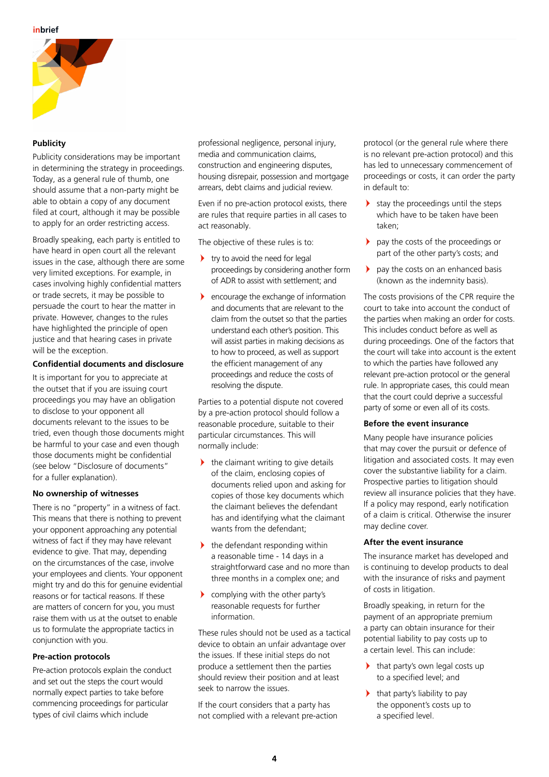

# **Publicity**

Publicity considerations may be important in determining the strategy in proceedings. Today, as a general rule of thumb, one should assume that a non-party might be able to obtain a copy of any document filed at court, although it may be possible to apply for an order restricting access.

Broadly speaking, each party is entitled to have heard in open court all the relevant issues in the case, although there are some very limited exceptions. For example, in cases involving highly confidential matters or trade secrets, it may be possible to persuade the court to hear the matter in private. However, changes to the rules have highlighted the principle of open justice and that hearing cases in private will be the exception.

# **Confidential documents and disclosure**

It is important for you to appreciate at the outset that if you are issuing court proceedings you may have an obligation to disclose to your opponent all documents relevant to the issues to be tried, even though those documents might be harmful to your case and even though those documents might be confidential (see below "Disclosure of documents" for a fuller explanation).

# **No ownership of witnesses**

There is no "property" in a witness of fact. This means that there is nothing to prevent your opponent approaching any potential witness of fact if they may have relevant evidence to give. That may, depending on the circumstances of the case, involve your employees and clients. Your opponent might try and do this for genuine evidential reasons or for tactical reasons. If these are matters of concern for you, you must raise them with us at the outset to enable us to formulate the appropriate tactics in conjunction with you.

# **Pre-action protocols**

Pre-action protocols explain the conduct and set out the steps the court would normally expect parties to take before commencing proceedings for particular types of civil claims which include

professional negligence, personal injury, media and communication claims, construction and engineering disputes, housing disrepair, possession and mortgage arrears, debt claims and judicial review.

Even if no pre-action protocol exists, there are rules that require parties in all cases to act reasonably.

The objective of these rules is to:

- $\rightarrow$  try to avoid the need for legal proceedings by considering another form of ADR to assist with settlement; and
- encourage the exchange of information and documents that are relevant to the claim from the outset so that the parties understand each other's position. This will assist parties in making decisions as to how to proceed, as well as support the efficient management of any proceedings and reduce the costs of resolving the dispute.

Parties to a potential dispute not covered by a pre-action protocol should follow a reasonable procedure, suitable to their particular circumstances. This will normally include:

- $\blacktriangleright$  the claimant writing to give details of the claim, enclosing copies of documents relied upon and asking for copies of those key documents which the claimant believes the defendant has and identifying what the claimant wants from the defendant;
- $\blacktriangleright$  the defendant responding within a reasonable time - 14 days in a straightforward case and no more than three months in a complex one; and
- complying with the other party's reasonable requests for further information.

These rules should not be used as a tactical device to obtain an unfair advantage over the issues. If these initial steps do not produce a settlement then the parties should review their position and at least seek to narrow the issues.

If the court considers that a party has not complied with a relevant pre-action

protocol (or the general rule where there is no relevant pre-action protocol) and this has led to unnecessary commencement of proceedings or costs, it can order the party in default to:

- stay the proceedings until the steps which have to be taken have been taken;
- pay the costs of the proceedings or part of the other party's costs; and
- $\blacktriangleright$  pay the costs on an enhanced basis (known as the indemnity basis).

The costs provisions of the CPR require the court to take into account the conduct of the parties when making an order for costs. This includes conduct before as well as during proceedings. One of the factors that the court will take into account is the extent to which the parties have followed any relevant pre-action protocol or the general rule. In appropriate cases, this could mean that the court could deprive a successful party of some or even all of its costs.

# **Before the event insurance**

Many people have insurance policies that may cover the pursuit or defence of litigation and associated costs. It may even cover the substantive liability for a claim. Prospective parties to litigation should review all insurance policies that they have. If a policy may respond, early notification of a claim is critical. Otherwise the insurer may decline cover.

# **After the event insurance**

The insurance market has developed and is continuing to develop products to deal with the insurance of risks and payment of costs in litigation.

Broadly speaking, in return for the payment of an appropriate premium a party can obtain insurance for their potential liability to pay costs up to a certain level. This can include:

- > that party's own legal costs up to a specified level; and
- $\blacktriangleright$  that party's liability to pay the opponent's costs up to a specified level.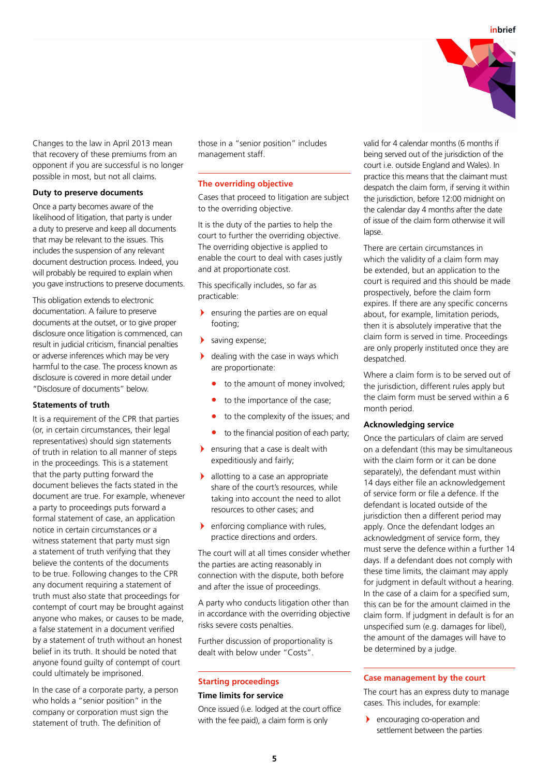

Changes to the law in April 2013 mean that recovery of these premiums from an opponent if you are successful is no longer possible in most, but not all claims.

## **Duty to preserve documents**

Once a party becomes aware of the likelihood of litigation, that party is under a duty to preserve and keep all documents that may be relevant to the issues. This includes the suspension of any relevant document destruction process. Indeed, you will probably be required to explain when you gave instructions to preserve documents.

This obligation extends to electronic documentation. A failure to preserve documents at the outset, or to give proper disclosure once litigation is commenced, can result in judicial criticism, financial penalties or adverse inferences which may be very harmful to the case. The process known as disclosure is covered in more detail under "Disclosure of documents" below.

#### **Statements of truth**

It is a requirement of the CPR that parties (or, in certain circumstances, their legal representatives) should sign statements of truth in relation to all manner of steps in the proceedings. This is a statement that the party putting forward the document believes the facts stated in the document are true. For example, whenever a party to proceedings puts forward a formal statement of case, an application notice in certain circumstances or a witness statement that party must sign a statement of truth verifying that they believe the contents of the documents to be true. Following changes to the CPR any document requiring a statement of truth must also state that proceedings for contempt of court may be brought against anyone who makes, or causes to be made, a false statement in a document verified by a statement of truth without an honest belief in its truth. It should be noted that anyone found guilty of contempt of court could ultimately be imprisoned.

In the case of a corporate party, a person who holds a "senior position" in the company or corporation must sign the statement of truth. The definition of

those in a "senior position" includes management staff.

#### **The overriding objective**

Cases that proceed to litigation are subject to the overriding objective.

It is the duty of the parties to help the court to further the overriding objective. The overriding objective is applied to enable the court to deal with cases justly and at proportionate cost.

This specifically includes, so far as practicable:

- **If** ensuring the parties are on equal footing;
- saving expense;
- $\blacktriangleright$  dealing with the case in ways which are proportionate:
	- **•** to the amount of money involved;
	- **•** to the importance of the case;
	- **•** to the complexity of the issues; and
	- **•** to the financial position of each party;
- ensuring that a case is dealt with expeditiously and fairly;
- **I** allotting to a case an appropriate share of the court's resources, while taking into account the need to allot resources to other cases; and
- enforcing compliance with rules, practice directions and orders.

The court will at all times consider whether the parties are acting reasonably in connection with the dispute, both before and after the issue of proceedings.

A party who conducts litigation other than in accordance with the overriding objective risks severe costs penalties.

Further discussion of proportionality is dealt with below under "Costs".

# **Starting proceedings**

## **Time limits for service**

Once issued (i.e. lodged at the court office with the fee paid), a claim form is only

valid for 4 calendar months (6 months if being served out of the jurisdiction of the court i.e. outside England and Wales). In practice this means that the claimant must despatch the claim form, if serving it within the jurisdiction, before 12:00 midnight on the calendar day 4 months after the date of issue of the claim form otherwise it will lapse.

There are certain circumstances in which the validity of a claim form may be extended, but an application to the court is required and this should be made prospectively, before the claim form expires. If there are any specific concerns about, for example, limitation periods, then it is absolutely imperative that the claim form is served in time. Proceedings are only properly instituted once they are despatched.

Where a claim form is to be served out of the jurisdiction, different rules apply but the claim form must be served within a 6 month period.

## **Acknowledging service**

Once the particulars of claim are served on a defendant (this may be simultaneous with the claim form or it can be done separately), the defendant must within 14 days either file an acknowledgement of service form or file a defence. If the defendant is located outside of the jurisdiction then a different period may apply. Once the defendant lodges an acknowledgment of service form, they must serve the defence within a further 14 days. If a defendant does not comply with these time limits, the claimant may apply for judgment in default without a hearing. In the case of a claim for a specified sum, this can be for the amount claimed in the claim form. If judgment in default is for an unspecified sum (e.g. damages for libel), the amount of the damages will have to be determined by a judge.

#### **Case management by the court**

The court has an express duty to manage cases. This includes, for example:

- encouraging co-operation and settlement between the parties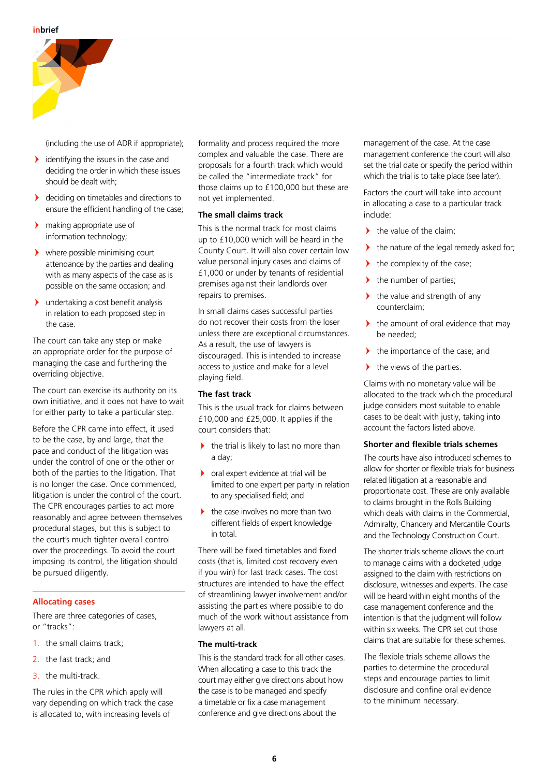

(including the use of ADR if appropriate);

- identifying the issues in the case and deciding the order in which these issues should be dealt with;
- deciding on timetables and directions to ensure the efficient handling of the case;
- $\blacktriangleright$  making appropriate use of information technology;
- where possible minimising court attendance by the parties and dealing with as many aspects of the case as is possible on the same occasion; and
- $\blacktriangleright$  undertaking a cost benefit analysis in relation to each proposed step in the case.

The court can take any step or make an appropriate order for the purpose of managing the case and furthering the overriding objective.

The court can exercise its authority on its own initiative, and it does not have to wait for either party to take a particular step.

Before the CPR came into effect, it used to be the case, by and large, that the pace and conduct of the litigation was under the control of one or the other or both of the parties to the litigation. That is no longer the case. Once commenced, litigation is under the control of the court. The CPR encourages parties to act more reasonably and agree between themselves procedural stages, but this is subject to the court's much tighter overall control over the proceedings. To avoid the court imposing its control, the litigation should be pursued diligently.

# **Allocating cases**

There are three categories of cases, or "tracks":

- 1. the small claims track;
- 2. the fast track; and
- 3. the multi-track.

The rules in the CPR which apply will vary depending on which track the case is allocated to, with increasing levels of

formality and process required the more complex and valuable the case. There are proposals for a fourth track which would be called the "intermediate track" for those claims up to £100,000 but these are not yet implemented.

## **The small claims track**

This is the normal track for most claims up to £10,000 which will be heard in the County Court. It will also cover certain low value personal injury cases and claims of £1,000 or under by tenants of residential premises against their landlords over repairs to premises.

In small claims cases successful parties do not recover their costs from the loser unless there are exceptional circumstances. As a result, the use of lawyers is discouraged. This is intended to increase access to justice and make for a level playing field.

## **The fast track**

This is the usual track for claims between £10,000 and £25,000. It applies if the court considers that:

- $\blacktriangleright$  the trial is likely to last no more than a day;
- oral expert evidence at trial will be limited to one expert per party in relation to any specialised field; and
- the case involves no more than two different fields of expert knowledge in total.

There will be fixed timetables and fixed costs (that is, limited cost recovery even if you win) for fast track cases. The cost structures are intended to have the effect of streamlining lawyer involvement and/or assisting the parties where possible to do much of the work without assistance from lawyers at all.

## **The multi-track**

This is the standard track for all other cases. When allocating a case to this track the court may either give directions about how the case is to be managed and specify a timetable or fix a case management conference and give directions about the

management of the case. At the case management conference the court will also set the trial date or specify the period within which the trial is to take place (see later).

Factors the court will take into account in allocating a case to a particular track include:

- $\blacktriangleright$  the value of the claim;
- the nature of the legal remedy asked for;
- $\blacktriangleright$  the complexity of the case;
- $\blacktriangleright$ the number of parties;
- $\blacktriangleright$  the value and strength of any counterclaim;
- $\blacktriangleright$  the amount of oral evidence that may be needed;
- the importance of the case; and
- $\blacktriangleright$  the views of the parties.

Claims with no monetary value will be allocated to the track which the procedural judge considers most suitable to enable cases to be dealt with justly, taking into account the factors listed above.

## **Shorter and flexible trials schemes**

The courts have also introduced schemes to allow for shorter or flexible trials for business related litigation at a reasonable and proportionate cost. These are only available to claims brought in the Rolls Building which deals with claims in the Commercial. Admiralty, Chancery and Mercantile Courts and the Technology Construction Court.

The shorter trials scheme allows the court to manage claims with a docketed judge assigned to the claim with restrictions on disclosure, witnesses and experts. The case will be heard within eight months of the case management conference and the intention is that the judgment will follow within six weeks. The CPR set out those claims that are suitable for these schemes.

The flexible trials scheme allows the parties to determine the procedural steps and encourage parties to limit disclosure and confine oral evidence to the minimum necessary.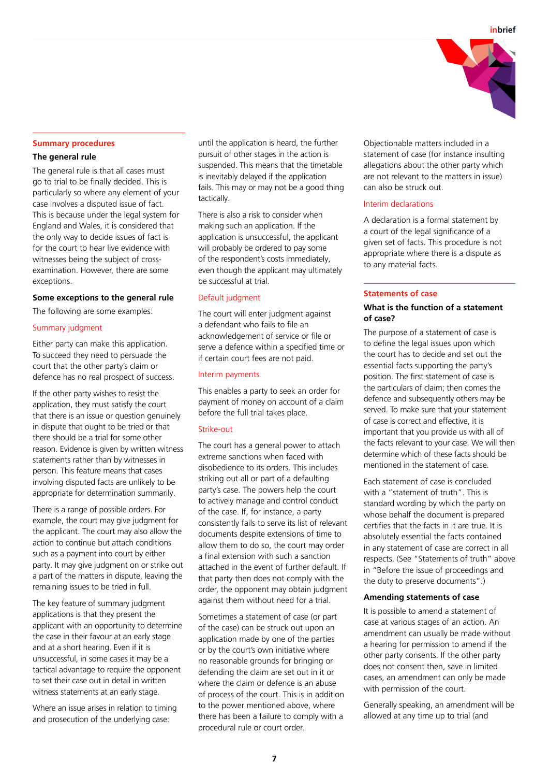

#### **Summary procedures**

# **The general rule**

The general rule is that all cases must go to trial to be finally decided. This is particularly so where any element of your case involves a disputed issue of fact. This is because under the legal system for England and Wales, it is considered that the only way to decide issues of fact is for the court to hear live evidence with witnesses being the subject of crossexamination. However, there are some exceptions.

#### **Some exceptions to the general rule**

The following are some examples:

## Summary judgment

Either party can make this application. To succeed they need to persuade the court that the other party's claim or defence has no real prospect of success.

If the other party wishes to resist the application, they must satisfy the court that there is an issue or question genuinely in dispute that ought to be tried or that there should be a trial for some other reason. Evidence is given by written witness statements rather than by witnesses in person. This feature means that cases involving disputed facts are unlikely to be appropriate for determination summarily.

There is a range of possible orders. For example, the court may give judgment for the applicant. The court may also allow the action to continue but attach conditions such as a payment into court by either party. It may give judgment on or strike out a part of the matters in dispute, leaving the remaining issues to be tried in full.

The key feature of summary judgment applications is that they present the applicant with an opportunity to determine the case in their favour at an early stage and at a short hearing. Even if it is unsuccessful, in some cases it may be a tactical advantage to require the opponent to set their case out in detail in written witness statements at an early stage.

Where an issue arises in relation to timing and prosecution of the underlying case:

until the application is heard, the further pursuit of other stages in the action is suspended. This means that the timetable is inevitably delayed if the application fails. This may or may not be a good thing tactically.

There is also a risk to consider when making such an application. If the application is unsuccessful, the applicant will probably be ordered to pay some of the respondent's costs immediately, even though the applicant may ultimately be successful at trial.

#### Default judgment

The court will enter judgment against a defendant who fails to file an acknowledgement of service or file or serve a defence within a specified time or if certain court fees are not paid.

#### Interim payments

This enables a party to seek an order for payment of money on account of a claim before the full trial takes place.

#### Strike-out

The court has a general power to attach extreme sanctions when faced with disobedience to its orders. This includes striking out all or part of a defaulting party's case. The powers help the court to actively manage and control conduct of the case. If, for instance, a party consistently fails to serve its list of relevant documents despite extensions of time to allow them to do so, the court may order a final extension with such a sanction attached in the event of further default. If that party then does not comply with the order, the opponent may obtain judgment against them without need for a trial.

Sometimes a statement of case (or part of the case) can be struck out upon an application made by one of the parties or by the court's own initiative where no reasonable grounds for bringing or defending the claim are set out in it or where the claim or defence is an abuse of process of the court. This is in addition to the power mentioned above, where there has been a failure to comply with a procedural rule or court order.

Objectionable matters included in a statement of case (for instance insulting allegations about the other party which are not relevant to the matters in issue) can also be struck out.

## Interim declarations

A declaration is a formal statement by a court of the legal significance of a given set of facts. This procedure is not appropriate where there is a dispute as to any material facts.

#### **Statements of case**

# **What is the function of a statement of case?**

The purpose of a statement of case is to define the legal issues upon which the court has to decide and set out the essential facts supporting the party's position. The first statement of case is the particulars of claim; then comes the defence and subsequently others may be served. To make sure that your statement of case is correct and effective, it is important that you provide us with all of the facts relevant to your case. We will then determine which of these facts should be mentioned in the statement of case.

Each statement of case is concluded with a "statement of truth". This is standard wording by which the party on whose behalf the document is prepared certifies that the facts in it are true. It is absolutely essential the facts contained in any statement of case are correct in all respects. (See "Statements of truth" above in "Before the issue of proceedings and the duty to preserve documents".)

#### **Amending statements of case**

It is possible to amend a statement of case at various stages of an action. An amendment can usually be made without a hearing for permission to amend if the other party consents. If the other party does not consent then, save in limited cases, an amendment can only be made with permission of the court.

Generally speaking, an amendment will be allowed at any time up to trial (and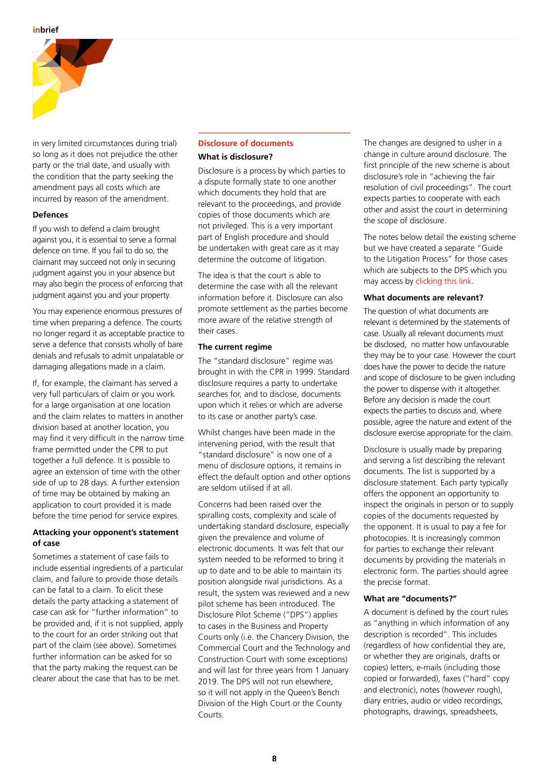

in very limited circumstances during trial) so long as it does not prejudice the other party or the trial date, and usually with the condition that the party seeking the amendment pays all costs which are incurred by reason of the amendment.

## **Defences**

If you wish to defend a claim brought against you, it is essential to serve a formal defence on time. If you fail to do so, the claimant may succeed not only in securing judgment against you in your absence but may also begin the process of enforcing that judgment against you and your property.

You may experience enormous pressures of time when preparing a defence. The courts no longer regard it as acceptable practice to serve a defence that consists wholly of bare denials and refusals to admit unpalatable or damaging allegations made in a claim.

If, for example, the claimant has served a very full particulars of claim or you work for a large organisation at one location and the claim relates to matters in another division based at another location, you may find it very difficult in the narrow time frame permitted under the CPR to put together a full defence. It is possible to agree an extension of time with the other side of up to 28 days. A further extension of time may be obtained by making an application to court provided it is made before the time period for service expires.

# **Attacking your opponent's statement of case**

Sometimes a statement of case fails to include essential ingredients of a particular claim, and failure to provide those details can be fatal to a claim. To elicit these details the party attacking a statement of case can ask for "further information" to be provided and, if it is not supplied, apply to the court for an order striking out that part of the claim (see above). Sometimes further information can be asked for so that the party making the request can be clearer about the case that has to be met.

#### **Disclosure of documents**

# **What is disclosure?**

Disclosure is a process by which parties to a dispute formally state to one another which documents they hold that are relevant to the proceedings, and provide copies of those documents which are not privileged. This is a very important part of English procedure and should be undertaken with great care as it may determine the outcome of litigation.

The idea is that the court is able to determine the case with all the relevant information before it. Disclosure can also promote settlement as the parties become more aware of the relative strength of their cases.

# **The current regime**

The "standard disclosure" regime was brought in with the CPR in 1999. Standard disclosure requires a party to undertake searches for, and to disclose, documents upon which it relies or which are adverse to its case or another party's case.

Whilst changes have been made in the intervening period, with the result that "standard disclosure" is now one of a menu of disclosure options, it remains in effect the default option and other options are seldom utilised if at all.

Concerns had been raised over the spiralling costs, complexity and scale of undertaking standard disclosure, especially given the prevalence and volume of electronic documents. It was felt that our system needed to be reformed to bring it up to date and to be able to maintain its position alongside rival jurisdictions. As a result, the system was reviewed and a new pilot scheme has been introduced. The Disclosure Pilot Scheme ("DPS") applies to cases in the Business and Property Courts only (i.e. the Chancery Division, the Commercial Court and the Technology and Construction Court with some exceptions) and will last for three years from 1 January 2019. The DPS will not run elsewhere, so it will not apply in the Queen's Bench Division of the High Court or the County Courts.

The changes are designed to usher in a change in culture around disclosure. The first principle of the new scheme is about disclosure's role in "achieving the fair resolution of civil proceedings". The court expects parties to cooperate with each other and assist the court in determining the scope of disclosure.

The notes below detail the existing scheme but we have created a separate "Guide to the Litigation Process" for those cases which are subjects to the DPS which you may access by [clicking this link](https://www.lewissilkin.com/en/insights/a-guide-to-the-litigation-process-including-guidance-on-the-disclosure-pilot-scheme).

#### **What documents are relevant?**

The question of what documents are relevant is determined by the statements of case. Usually all relevant documents must be disclosed, no matter how unfavourable they may be to your case. However the court does have the power to decide the nature and scope of disclosure to be given including the power to dispense with it altogether. Before any decision is made the court expects the parties to discuss and, where possible, agree the nature and extent of the disclosure exercise appropriate for the claim.

Disclosure is usually made by preparing and serving a list describing the relevant documents. The list is supported by a disclosure statement. Each party typically offers the opponent an opportunity to inspect the originals in person or to supply copies of the documents requested by the opponent. It is usual to pay a fee for photocopies. It is increasingly common for parties to exchange their relevant documents by providing the materials in electronic form. The parties should agree the precise format.

#### **What are "documents?"**

A document is defined by the court rules as "anything in which information of any description is recorded". This includes (regardless of how confidential they are, or whether they are originals, drafts or copies) letters, e-mails (including those copied or forwarded), faxes ("hard" copy and electronic), notes (however rough), diary entries, audio or video recordings, photographs, drawings, spreadsheets,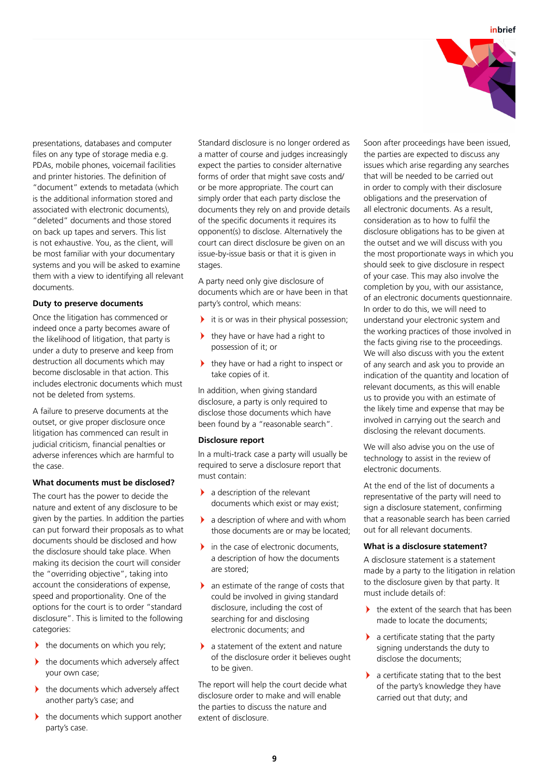

presentations, databases and computer files on any type of storage media e.g. PDAs, mobile phones, voicemail facilities and printer histories. The definition of "document" extends to metadata (which is the additional information stored and associated with electronic documents) "deleted" documents and those stored on back up tapes and servers. This list is not exhaustive. You, as the client, will be most familiar with your documentary systems and you will be asked to examine them with a view to identifying all relevant documents.

## **Duty to preserve documents**

Once the litigation has commenced or indeed once a party becomes aware of the likelihood of litigation, that party is under a duty to preserve and keep from destruction all documents which may become disclosable in that action. This includes electronic documents which must not be deleted from systems.

A failure to preserve documents at the outset, or give proper disclosure once litigation has commenced can result in judicial criticism, financial penalties or adverse inferences which are harmful to the case.

#### **What documents must be disclosed?**

The court has the power to decide the nature and extent of any disclosure to be given by the parties. In addition the parties can put forward their proposals as to what documents should be disclosed and how the disclosure should take place. When making its decision the court will consider the "overriding objective", taking into account the considerations of expense, speed and proportionality. One of the options for the court is to order "standard disclosure". This is limited to the following categories:

- If the documents on which you rely;
- $\blacktriangleright$  the documents which adversely affect your own case;
- $\blacktriangleright$  the documents which adversely affect another party's case; and
- $\blacktriangleright$  the documents which support another party's case.

Standard disclosure is no longer ordered as a matter of course and judges increasingly expect the parties to consider alternative forms of order that might save costs and/ or be more appropriate. The court can simply order that each party disclose the documents they rely on and provide details of the specific documents it requires its opponent(s) to disclose. Alternatively the court can direct disclosure be given on an issue-by-issue basis or that it is given in stages.

A party need only give disclosure of documents which are or have been in that party's control, which means:

- it is or was in their physical possession;
- $\blacktriangleright$  they have or have had a right to possession of it; or
- they have or had a right to inspect or take copies of it.

In addition, when giving standard disclosure, a party is only required to disclose those documents which have been found by a "reasonable search".

#### **Disclosure report**

In a multi-track case a party will usually be required to serve a disclosure report that must contain:

- $\blacktriangleright$  a description of the relevant documents which exist or may exist;
- $\blacktriangleright$  a description of where and with whom those documents are or may be located;
- in the case of electronic documents, a description of how the documents are stored;
- an estimate of the range of costs that could be involved in giving standard disclosure, including the cost of searching for and disclosing electronic documents; and
- $\blacktriangleright$  a statement of the extent and nature of the disclosure order it believes ought to be given.

The report will help the court decide what disclosure order to make and will enable the parties to discuss the nature and extent of disclosure.

Soon after proceedings have been issued, the parties are expected to discuss any issues which arise regarding any searches that will be needed to be carried out in order to comply with their disclosure obligations and the preservation of all electronic documents. As a result, consideration as to how to fulfil the disclosure obligations has to be given at the outset and we will discuss with you the most proportionate ways in which you should seek to give disclosure in respect of your case. This may also involve the completion by you, with our assistance, of an electronic documents questionnaire. In order to do this, we will need to understand your electronic system and the working practices of those involved in the facts giving rise to the proceedings. We will also discuss with you the extent of any search and ask you to provide an indication of the quantity and location of relevant documents, as this will enable us to provide you with an estimate of the likely time and expense that may be involved in carrying out the search and disclosing the relevant documents.

We will also advise you on the use of technology to assist in the review of electronic documents.

At the end of the list of documents a representative of the party will need to sign a disclosure statement, confirming that a reasonable search has been carried out for all relevant documents.

## **What is a disclosure statement?**

A disclosure statement is a statement made by a party to the litigation in relation to the disclosure given by that party. It must include details of:

- the extent of the search that has been made to locate the documents;
- $\blacktriangleright$  a certificate stating that the party signing understands the duty to disclose the documents;
- $\blacktriangleright$  a certificate stating that to the best of the party's knowledge they have carried out that duty; and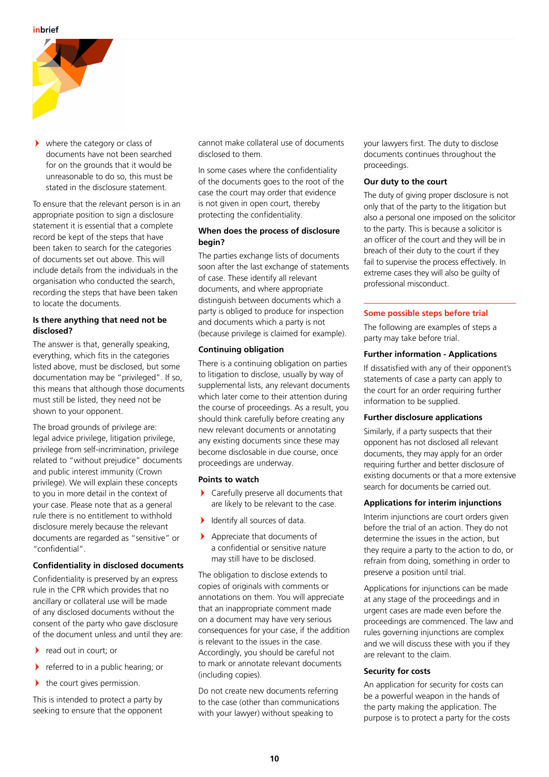

 $\blacktriangleright$  where the category or class of documents have not been searched for on the grounds that it would be unreasonable to do so, this must be stated in the disclosure statement.

To ensure that the relevant person is in an appropriate position to sign a disclosure statement it is essential that a complete record be kept of the steps that have been taken to search for the categories of documents set out above. This will include details from the individuals in the organisation who conducted the search, recording the steps that have been taken to locate the documents.

# **Is there anything that need not be disclosed?**

The answer is that, generally speaking. everything, which fits in the categories listed above, must be disclosed, but some documentation may be "privileged". If so, this means that although those documents must still be listed, they need not be shown to your opponent.

The broad grounds of privilege are: legal advice privilege, litigation privilege, privilege from self-incrimination, privilege related to "without prejudice" documents and public interest immunity (Crown privilege). We will explain these concepts to you in more detail in the context of your case. Please note that as a general rule there is no entitlement to withhold disclosure merely because the relevant documents are regarded as "sensitive" or "confidential".

# **Confidentiality in disclosed documents**

Confidentiality is preserved by an express rule in the CPR which provides that no ancillary or collateral use will be made of any disclosed documents without the consent of the party who gave disclosure of the document unless and until they are:

- $\blacktriangleright$ read out in court; or
- $\blacktriangleright$ referred to in a public hearing; or
- > the court gives permission.

This is intended to protect a party by seeking to ensure that the opponent cannot make collateral use of documents disclosed to them.

In some cases where the confidentiality of the documents goes to the root of the case the court may order that evidence is not given in open court, thereby protecting the confidentiality.

# **When does the process of disclosure begin?**

The parties exchange lists of documents soon after the last exchange of statements of case. These identify all relevant documents, and where appropriate distinguish between documents which a party is obliged to produce for inspection and documents which a party is not (because privilege is claimed for example).

# **Continuing obligation**

There is a continuing obligation on parties to litigation to disclose, usually by way of supplemental lists, any relevant documents which later come to their attention during the course of proceedings. As a result, you should think carefully before creating any new relevant documents or annotating any existing documents since these may become disclosable in due course, once proceedings are underway.

#### **Points to watch**

- Carefully preserve all documents that are likely to be relevant to the case.
- Identify all sources of data.
- $\blacktriangleright$  Appreciate that documents of a confidential or sensitive nature may still have to be disclosed.

The obligation to disclose extends to copies of originals with comments or annotations on them. You will appreciate that an inappropriate comment made on a document may have very serious consequences for your case, if the addition is relevant to the issues in the case. Accordingly, you should be careful not to mark or annotate relevant documents (including copies).

Do not create new documents referring to the case (other than communications with your lawyer) without speaking to

your lawyers first. The duty to disclose documents continues throughout the proceedings.

## **Our duty to the court**

The duty of giving proper disclosure is not only that of the party to the litigation but also a personal one imposed on the solicitor to the party. This is because a solicitor is an officer of the court and they will be in breach of their duty to the court if they fail to supervise the process effectively. In extreme cases they will also be guilty of professional misconduct.

## **Some possible steps before trial**

The following are examples of steps a party may take before trial.

## **Further information - Applications**

If dissatisfied with any of their opponent's statements of case a party can apply to the court for an order requiring further information to be supplied.

#### **Further disclosure applications**

Similarly, if a party suspects that their opponent has not disclosed all relevant documents, they may apply for an order requiring further and better disclosure of existing documents or that a more extensive search for documents be carried out.

## **Applications for interim injunctions**

Interim injunctions are court orders given before the trial of an action. They do not determine the issues in the action, but they require a party to the action to do, or refrain from doing, something in order to preserve a position until trial.

Applications for injunctions can be made at any stage of the proceedings and in urgent cases are made even before the proceedings are commenced. The law and rules governing injunctions are complex and we will discuss these with you if they are relevant to the claim.

# **Security for costs**

An application for security for costs can be a powerful weapon in the hands of the party making the application. The purpose is to protect a party for the costs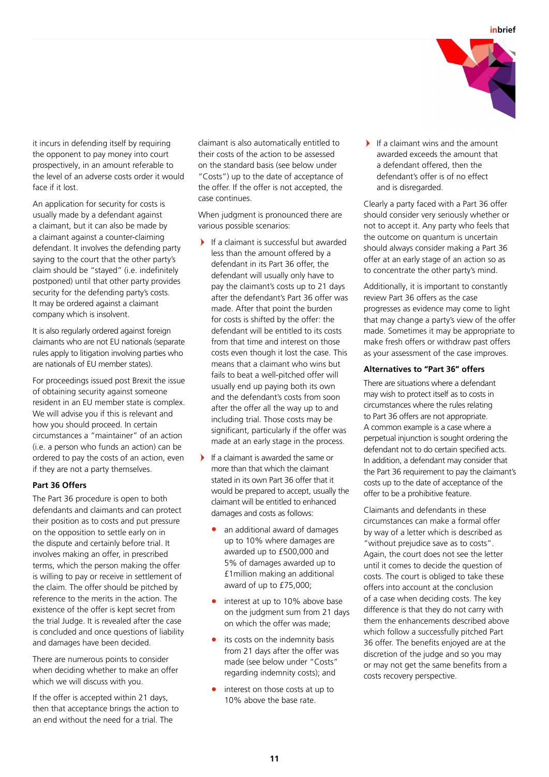

it incurs in defending itself by requiring the opponent to pay money into court prospectively, in an amount referable to the level of an adverse costs order it would face if it lost.

An application for security for costs is usually made by a defendant against a claimant, but it can also be made by a claimant against a counter-claiming defendant. It involves the defending party saying to the court that the other party's claim should be "stayed" (i.e. indefinitely postponed) until that other party provides security for the defending party's costs. It may be ordered against a claimant company which is insolvent.

It is also regularly ordered against foreign claimants who are not EU nationals (separate rules apply to litigation involving parties who are nationals of EU member states).

For proceedings issued post Brexit the issue of obtaining security against someone resident in an EU member state is complex. We will advise you if this is relevant and how you should proceed. In certain circumstances a "maintainer" of an action (i.e. a person who funds an action) can be ordered to pay the costs of an action, even if they are not a party themselves.

# **Part 36 Offers**

The Part 36 procedure is open to both defendants and claimants and can protect their position as to costs and put pressure on the opposition to settle early on in the dispute and certainly before trial. It involves making an offer, in prescribed terms, which the person making the offer is willing to pay or receive in settlement of the claim. The offer should be pitched by reference to the merits in the action. The existence of the offer is kept secret from the trial Judge. It is revealed after the case is concluded and once questions of liability and damages have been decided.

There are numerous points to consider when deciding whether to make an offer which we will discuss with you.

If the offer is accepted within 21 days, then that acceptance brings the action to an end without the need for a trial. The

claimant is also automatically entitled to their costs of the action to be assessed on the standard basis (see below under "Costs") up to the date of acceptance of the offer. If the offer is not accepted, the case continues.

When judgment is pronounced there are various possible scenarios:

- If a claimant is successful but awarded less than the amount offered by a defendant in its Part 36 offer, the defendant will usually only have to pay the claimant's costs up to 21 days after the defendant's Part 36 offer was made. After that point the burden for costs is shifted by the offer: the defendant will be entitled to its costs from that time and interest on those costs even though it lost the case. This means that a claimant who wins but fails to beat a well-pitched offer will usually end up paying both its own and the defendant's costs from soon after the offer all the way up to and including trial. Those costs may be significant, particularly if the offer was made at an early stage in the process.
- If a claimant is awarded the same or more than that which the claimant stated in its own Part 36 offer that it would be prepared to accept, usually the claimant will be entitled to enhanced damages and costs as follows:
	- **•** an additional award of damages up to 10% where damages are awarded up to £500,000 and 5% of damages awarded up to £1million making an additional award of up to £75,000;
	- **•** interest at up to 10% above base on the judgment sum from 21 days on which the offer was made;
	- **•** its costs on the indemnity basis from 21 days after the offer was made (see below under "Costs" regarding indemnity costs); and
	- **•** interest on those costs at up to 10% above the base rate.

If a claimant wins and the amount awarded exceeds the amount that a defendant offered, then the defendant's offer is of no effect and is disregarded.

Clearly a party faced with a Part 36 offer should consider very seriously whether or not to accept it. Any party who feels that the outcome on quantum is uncertain should always consider making a Part 36 offer at an early stage of an action so as to concentrate the other party's mind.

Additionally, it is important to constantly review Part 36 offers as the case progresses as evidence may come to light that may change a party's view of the offer made. Sometimes it may be appropriate to make fresh offers or withdraw past offers as your assessment of the case improves.

# **Alternatives to "Part 36" offers**

There are situations where a defendant may wish to protect itself as to costs in circumstances where the rules relating to Part 36 offers are not appropriate. A common example is a case where a perpetual injunction is sought ordering the defendant not to do certain specified acts. In addition, a defendant may consider that the Part 36 requirement to pay the claimant's costs up to the date of acceptance of the offer to be a prohibitive feature.

Claimants and defendants in these circumstances can make a formal offer by way of a letter which is described as "without prejudice save as to costs". Again, the court does not see the letter until it comes to decide the question of costs. The court is obliged to take these offers into account at the conclusion of a case when deciding costs. The key difference is that they do not carry with them the enhancements described above which follow a successfully pitched Part 36 offer. The benefits enjoyed are at the discretion of the judge and so you may or may not get the same benefits from a costs recovery perspective.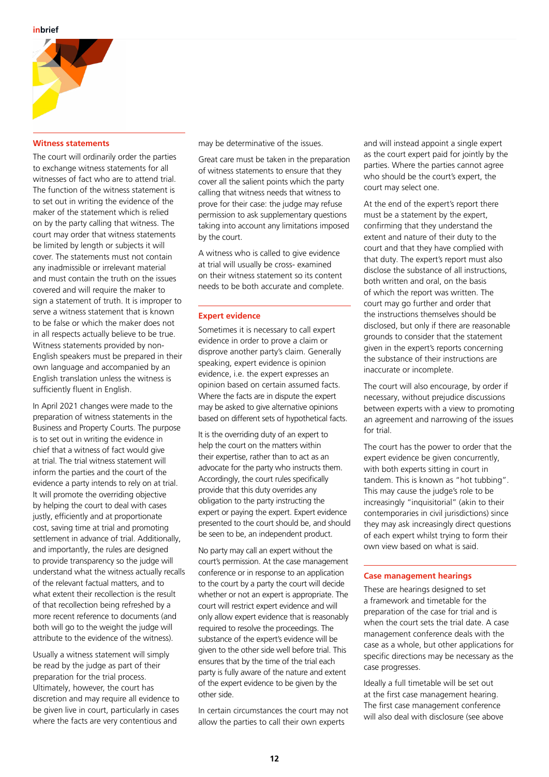

## **Witness statements**

The court will ordinarily order the parties to exchange witness statements for all witnesses of fact who are to attend trial. The function of the witness statement is to set out in writing the evidence of the maker of the statement which is relied on by the party calling that witness. The court may order that witness statements be limited by length or subjects it will cover. The statements must not contain any inadmissible or irrelevant material and must contain the truth on the issues covered and will require the maker to sign a statement of truth. It is improper to serve a witness statement that is known to be false or which the maker does not in all respects actually believe to be true. Witness statements provided by non-English speakers must be prepared in their own language and accompanied by an English translation unless the witness is sufficiently fluent in English.

In April 2021 changes were made to the preparation of witness statements in the Business and Property Courts. The purpose is to set out in writing the evidence in chief that a witness of fact would give at trial. The trial witness statement will inform the parties and the court of the evidence a party intends to rely on at trial. It will promote the overriding objective by helping the court to deal with cases justly, efficiently and at proportionate cost, saving time at trial and promoting settlement in advance of trial. Additionally, and importantly, the rules are designed to provide transparency so the judge will understand what the witness actually recalls of the relevant factual matters, and to what extent their recollection is the result of that recollection being refreshed by a more recent reference to documents (and both will go to the weight the judge will attribute to the evidence of the witness).

Usually a witness statement will simply be read by the judge as part of their preparation for the trial process. Ultimately, however, the court has discretion and may require all evidence to be given live in court, particularly in cases where the facts are very contentious and

may be determinative of the issues.

Great care must be taken in the preparation of witness statements to ensure that they cover all the salient points which the party calling that witness needs that witness to prove for their case: the judge may refuse permission to ask supplementary questions taking into account any limitations imposed by the court.

A witness who is called to give evidence at trial will usually be cross- examined on their witness statement so its content needs to be both accurate and complete.

#### **Expert evidence**

Sometimes it is necessary to call expert evidence in order to prove a claim or disprove another party's claim. Generally speaking, expert evidence is opinion evidence, i.e. the expert expresses an opinion based on certain assumed facts. Where the facts are in dispute the expert may be asked to give alternative opinions based on different sets of hypothetical facts.

It is the overriding duty of an expert to help the court on the matters within their expertise, rather than to act as an advocate for the party who instructs them. Accordingly, the court rules specifically provide that this duty overrides any obligation to the party instructing the expert or paying the expert. Expert evidence presented to the court should be, and should be seen to be, an independent product.

No party may call an expert without the court's permission. At the case management conference or in response to an application to the court by a party the court will decide whether or not an expert is appropriate. The court will restrict expert evidence and will only allow expert evidence that is reasonably required to resolve the proceedings. The substance of the expert's evidence will be given to the other side well before trial. This ensures that by the time of the trial each party is fully aware of the nature and extent of the expert evidence to be given by the other side.

In certain circumstances the court may not allow the parties to call their own experts

and will instead appoint a single expert as the court expert paid for jointly by the parties. Where the parties cannot agree who should be the court's expert, the court may select one.

At the end of the expert's report there must be a statement by the expert, confirming that they understand the extent and nature of their duty to the court and that they have complied with that duty. The expert's report must also disclose the substance of all instructions, both written and oral, on the basis of which the report was written. The court may go further and order that the instructions themselves should be disclosed, but only if there are reasonable grounds to consider that the statement given in the expert's reports concerning the substance of their instructions are inaccurate or incomplete.

The court will also encourage, by order if necessary, without prejudice discussions between experts with a view to promoting an agreement and narrowing of the issues for trial.

The court has the power to order that the expert evidence be given concurrently, with both experts sitting in court in tandem. This is known as "hot tubbing". This may cause the judge's role to be increasingly "inquisitorial" (akin to their contemporaries in civil jurisdictions) since they may ask increasingly direct questions of each expert whilst trying to form their own view based on what is said.

#### **Case management hearings**

These are hearings designed to set a framework and timetable for the preparation of the case for trial and is when the court sets the trial date. A case management conference deals with the case as a whole, but other applications for specific directions may be necessary as the case progresses.

Ideally a full timetable will be set out at the first case management hearing. The first case management conference will also deal with disclosure (see above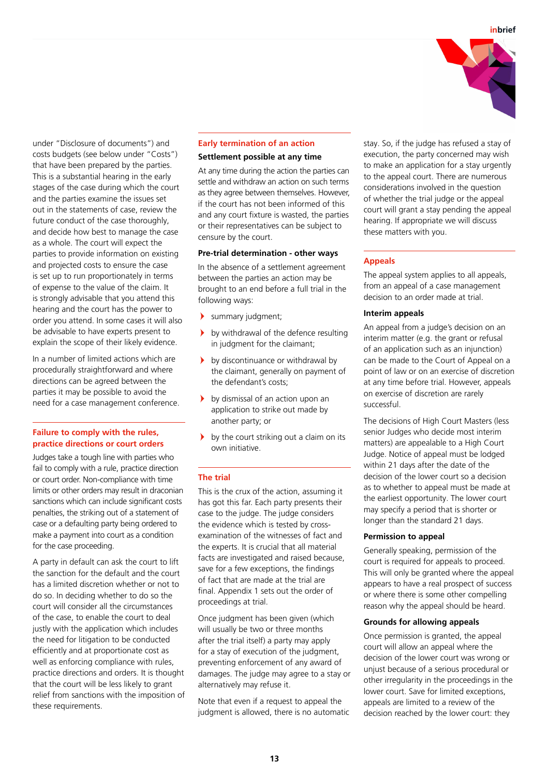

under "Disclosure of documents") and costs budgets (see below under "Costs") that have been prepared by the parties. This is a substantial hearing in the early stages of the case during which the court and the parties examine the issues set out in the statements of case, review the future conduct of the case thoroughly and decide how best to manage the case as a whole. The court will expect the parties to provide information on existing and projected costs to ensure the case is set up to run proportionately in terms of expense to the value of the claim. It is strongly advisable that you attend this hearing and the court has the power to order you attend. In some cases it will also be advisable to have experts present to explain the scope of their likely evidence.

In a number of limited actions which are procedurally straightforward and where directions can be agreed between the parties it may be possible to avoid the need for a case management conference.

## **Failure to comply with the rules, practice directions or court orders**

Judges take a tough line with parties who fail to comply with a rule, practice direction or court order. Non-compliance with time limits or other orders may result in draconian sanctions which can include significant costs penalties, the striking out of a statement of case or a defaulting party being ordered to make a payment into court as a condition for the case proceeding.

A party in default can ask the court to lift the sanction for the default and the court has a limited discretion whether or not to do so. In deciding whether to do so the court will consider all the circumstances of the case, to enable the court to deal justly with the application which includes the need for litigation to be conducted efficiently and at proportionate cost as well as enforcing compliance with rules, practice directions and orders. It is thought that the court will be less likely to grant relief from sanctions with the imposition of these requirements.

## **Early termination of an action**

## **Settlement possible at any time**

At any time during the action the parties can settle and withdraw an action on such terms as they agree between themselves. However, if the court has not been informed of this and any court fixture is wasted, the parties or their representatives can be subject to censure by the court.

#### **Pre-trial determination - other ways**

In the absence of a settlement agreement between the parties an action may be brought to an end before a full trial in the following ways:

- summary judgment;
- $\blacktriangleright$  by withdrawal of the defence resulting in judgment for the claimant;
- by discontinuance or withdrawal by the claimant, generally on payment of the defendant's costs;
- by dismissal of an action upon an application to strike out made by another party; or
- $\rightarrow$  by the court striking out a claim on its own initiative.

#### **The trial**

This is the crux of the action, assuming it has got this far. Each party presents their case to the judge. The judge considers the evidence which is tested by crossexamination of the witnesses of fact and the experts. It is crucial that all material facts are investigated and raised because, save for a few exceptions, the findings of fact that are made at the trial are final. Appendix 1 sets out the order of proceedings at trial.

Once judgment has been given (which will usually be two or three months after the trial itself) a party may apply for a stay of execution of the judgment, preventing enforcement of any award of damages. The judge may agree to a stay or alternatively may refuse it.

Note that even if a request to appeal the judgment is allowed, there is no automatic stay. So, if the judge has refused a stay of execution, the party concerned may wish to make an application for a stay urgently to the appeal court. There are numerous considerations involved in the question of whether the trial judge or the appeal court will grant a stay pending the appeal hearing. If appropriate we will discuss these matters with you.

## **Appeals**

The appeal system applies to all appeals, from an appeal of a case management decision to an order made at trial.

#### **Interim appeals**

An appeal from a judge's decision on an interim matter (e.g. the grant or refusal of an application such as an injunction) can be made to the Court of Appeal on a point of law or on an exercise of discretion at any time before trial. However, appeals on exercise of discretion are rarely successful.

The decisions of High Court Masters (less senior Judges who decide most interim matters) are appealable to a High Court Judge. Notice of appeal must be lodged within 21 days after the date of the decision of the lower court so a decision as to whether to appeal must be made at the earliest opportunity. The lower court may specify a period that is shorter or longer than the standard 21 days.

#### **Permission to appeal**

Generally speaking, permission of the court is required for appeals to proceed. This will only be granted where the appeal appears to have a real prospect of success or where there is some other compelling reason why the appeal should be heard.

## **Grounds for allowing appeals**

Once permission is granted, the appeal court will allow an appeal where the decision of the lower court was wrong or unjust because of a serious procedural or other irregularity in the proceedings in the lower court. Save for limited exceptions, appeals are limited to a review of the decision reached by the lower court: they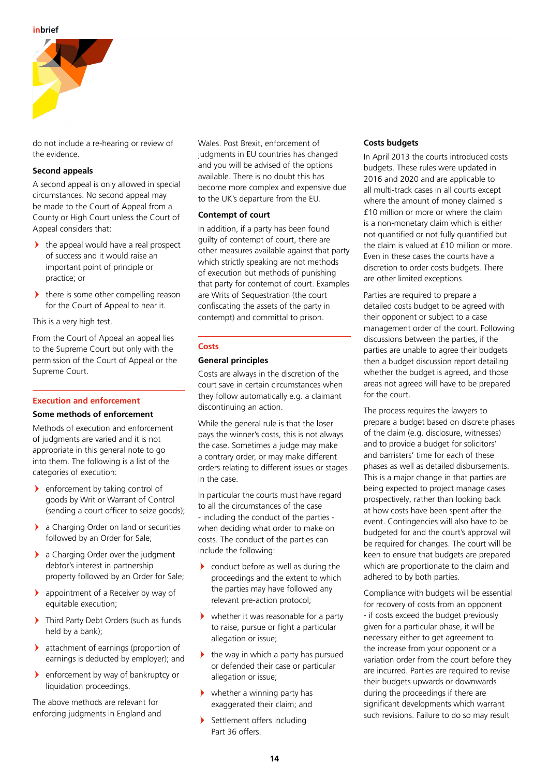

do not include a re-hearing or review of the evidence.

## **Second appeals**

A second appeal is only allowed in special circumstances. No second appeal may be made to the Court of Appeal from a County or High Court unless the Court of Appeal considers that:

- the appeal would have a real prospect of success and it would raise an important point of principle or practice; or
- there is some other compelling reason for the Court of Appeal to hear it.

This is a very high test.

From the Court of Appeal an appeal lies to the Supreme Court but only with the permission of the Court of Appeal or the Supreme Court.

## **Execution and enforcement**

## **Some methods of enforcement**

Methods of execution and enforcement of judgments are varied and it is not appropriate in this general note to go into them. The following is a list of the categories of execution:

- enforcement by taking control of goods by Writ or Warrant of Control (sending a court officer to seize goods);
- **a** Charging Order on land or securities followed by an Order for Sale;
- > a Charging Order over the judgment debtor's interest in partnership property followed by an Order for Sale;
- appointment of a Receiver by way of equitable execution;
- $\blacktriangleright$  Third Party Debt Orders (such as funds held by a bank);
- attachment of earnings (proportion of earnings is deducted by employer); and
- enforcement by way of bankruptcy or liquidation proceedings.

The above methods are relevant for enforcing judgments in England and Wales. Post Brexit, enforcement of judgments in EU countries has changed and you will be advised of the options available. There is no doubt this has become more complex and expensive due to the UK's departure from the EU.

# **Contempt of court**

In addition, if a party has been found guilty of contempt of court, there are other measures available against that party which strictly speaking are not methods of execution but methods of punishing that party for contempt of court. Examples are Writs of Sequestration (the court confiscating the assets of the party in contempt) and committal to prison.

# **Costs**

# **General principles**

Costs are always in the discretion of the court save in certain circumstances when they follow automatically e.g. a claimant discontinuing an action.

While the general rule is that the loser pays the winner's costs, this is not always the case. Sometimes a judge may make a contrary order, or may make different orders relating to different issues or stages in the case.

In particular the courts must have regard to all the circumstances of the case - including the conduct of the parties when deciding what order to make on costs. The conduct of the parties can include the following:

- conduct before as well as during the proceedings and the extent to which the parties may have followed any relevant pre-action protocol;
- whether it was reasonable for a party to raise, pursue or fight a particular allegation or issue;
- $\blacktriangleright$  the way in which a party has pursued or defended their case or particular allegation or issue;
- $\blacktriangleright$  whether a winning party has exaggerated their claim; and
- > Settlement offers including Part 36 offers.

# **Costs budgets**

In April 2013 the courts introduced costs budgets. These rules were updated in 2016 and 2020 and are applicable to all multi-track cases in all courts except where the amount of money claimed is £10 million or more or where the claim is a non-monetary claim which is either not quantified or not fully quantified but the claim is valued at £10 million or more. Even in these cases the courts have a discretion to order costs budgets. There are other limited exceptions.

Parties are required to prepare a detailed costs budget to be agreed with their opponent or subject to a case management order of the court. Following discussions between the parties, if the parties are unable to agree their budgets then a budget discussion report detailing whether the budget is agreed, and those areas not agreed will have to be prepared for the court.

The process requires the lawyers to prepare a budget based on discrete phases of the claim (e.g. disclosure, witnesses) and to provide a budget for solicitors' and barristers' time for each of these phases as well as detailed disbursements. This is a major change in that parties are being expected to project manage cases prospectively, rather than looking back at how costs have been spent after the event. Contingencies will also have to be budgeted for and the court's approval will be required for changes. The court will be keen to ensure that budgets are prepared which are proportionate to the claim and adhered to by both parties.

Compliance with budgets will be essential for recovery of costs from an opponent - if costs exceed the budget previously given for a particular phase, it will be necessary either to get agreement to the increase from your opponent or a variation order from the court before they are incurred. Parties are required to revise their budgets upwards or downwards during the proceedings if there are significant developments which warrant such revisions. Failure to do so may result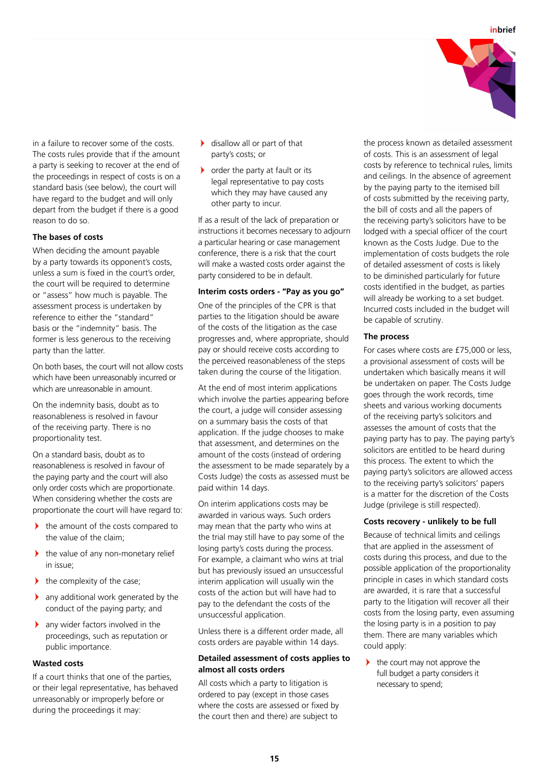

in a failure to recover some of the costs. The costs rules provide that if the amount a party is seeking to recover at the end of the proceedings in respect of costs is on a standard basis (see below), the court will have regard to the budget and will only depart from the budget if there is a good reason to do so.

# **The bases of costs**

When deciding the amount payable by a party towards its opponent's costs, unless a sum is fixed in the court's order, the court will be required to determine or "assess" how much is payable. The assessment process is undertaken by reference to either the "standard" basis or the "indemnity" basis. The former is less generous to the receiving party than the latter.

On both bases, the court will not allow costs which have been unreasonably incurred or which are unreasonable in amount.

On the indemnity basis, doubt as to reasonableness is resolved in favour of the receiving party. There is no proportionality test.

On a standard basis, doubt as to reasonableness is resolved in favour of the paying party and the court will also only order costs which are proportionate. When considering whether the costs are proportionate the court will have regard to:

- $\blacktriangleright$  the amount of the costs compared to the value of the claim;
- the value of any non-monetary relief in issue;
- $\blacktriangleright$ the complexity of the case;
- $\blacktriangleright$  any additional work generated by the conduct of the paying party; and
- $\blacktriangleright$  any wider factors involved in the proceedings, such as reputation or public importance.

# **Wasted costs**

If a court thinks that one of the parties, or their legal representative, has behaved unreasonably or improperly before or during the proceedings it may:

- disallow all or part of that party's costs; or
- order the party at fault or its legal representative to pay costs which they may have caused any other party to incur.

If as a result of the lack of preparation or instructions it becomes necessary to adjourn a particular hearing or case management conference, there is a risk that the court will make a wasted costs order against the party considered to be in default.

## **Interim costs orders - "Pay as you go"**

One of the principles of the CPR is that parties to the litigation should be aware of the costs of the litigation as the case progresses and, where appropriate, should pay or should receive costs according to the perceived reasonableness of the steps taken during the course of the litigation.

At the end of most interim applications which involve the parties appearing before the court, a judge will consider assessing on a summary basis the costs of that application. If the judge chooses to make that assessment, and determines on the amount of the costs (instead of ordering the assessment to be made separately by a Costs Judge) the costs as assessed must be paid within 14 days.

On interim applications costs may be awarded in various ways. Such orders may mean that the party who wins at the trial may still have to pay some of the losing party's costs during the process. For example, a claimant who wins at trial but has previously issued an unsuccessful interim application will usually win the costs of the action but will have had to pay to the defendant the costs of the unsuccessful application.

Unless there is a different order made, all costs orders are payable within 14 days.

# **Detailed assessment of costs applies to almost all costs orders**

All costs which a party to litigation is ordered to pay (except in those cases where the costs are assessed or fixed by the court then and there) are subject to

the process known as detailed assessment of costs. This is an assessment of legal costs by reference to technical rules, limits and ceilings. In the absence of agreement by the paying party to the itemised bill of costs submitted by the receiving party, the bill of costs and all the papers of the receiving party's solicitors have to be lodged with a special officer of the court known as the Costs Judge. Due to the implementation of costs budgets the role of detailed assessment of costs is likely to be diminished particularly for future costs identified in the budget, as parties will already be working to a set budget. Incurred costs included in the budget will be capable of scrutiny.

## **The process**

For cases where costs are £75,000 or less, a provisional assessment of costs will be undertaken which basically means it will be undertaken on paper. The Costs Judge goes through the work records, time sheets and various working documents of the receiving party's solicitors and assesses the amount of costs that the paying party has to pay. The paying party's solicitors are entitled to be heard during this process. The extent to which the paying party's solicitors are allowed access to the receiving party's solicitors' papers is a matter for the discretion of the Costs Judge (privilege is still respected).

## **Costs recovery - unlikely to be full**

Because of technical limits and ceilings that are applied in the assessment of costs during this process, and due to the possible application of the proportionality principle in cases in which standard costs are awarded, it is rare that a successful party to the litigation will recover all their costs from the losing party, even assuming the losing party is in a position to pay them. There are many variables which could apply:

 $\mathbf{v}$  the court may not approve the full budget a party considers it necessary to spend;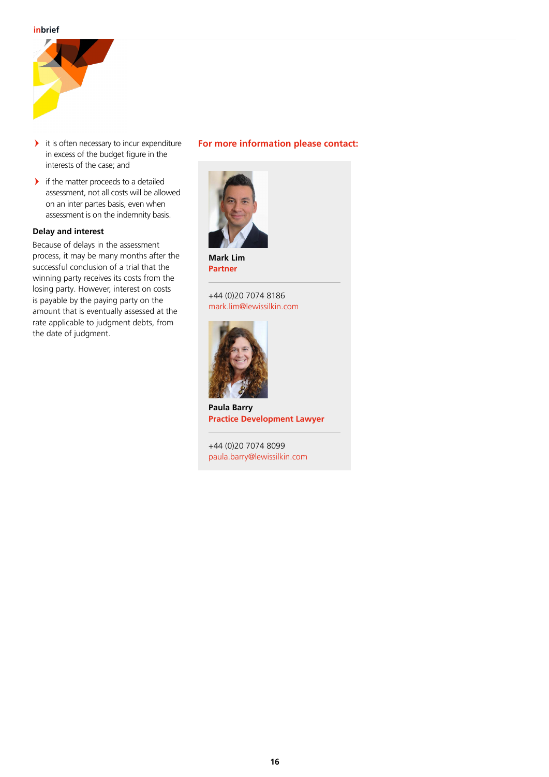

- $\blacktriangleright$  it is often necessary to incur expenditure in excess of the budget figure in the interests of the case; and
- $\blacktriangleright$  if the matter proceeds to a detailed assessment, not all costs will be allowed on an inter partes basis, even when assessment is on the indemnity basis.

# **Delay and interest**

Because of delays in the assessment process, it may be many months after the successful conclusion of a trial that the winning party receives its costs from the losing party. However, interest on costs is payable by the paying party on the amount that is eventually assessed at the rate applicable to judgment debts, from the date of judgment.

# **For more information please contact:**



**Mark Lim Partner**

+44 (0)20 7074 8186 mark.lim@lewissilkin.com



**Paula Barry Practice Development Lawyer**

+44 (0)20 7074 8099 paula.barry@lewissilkin.com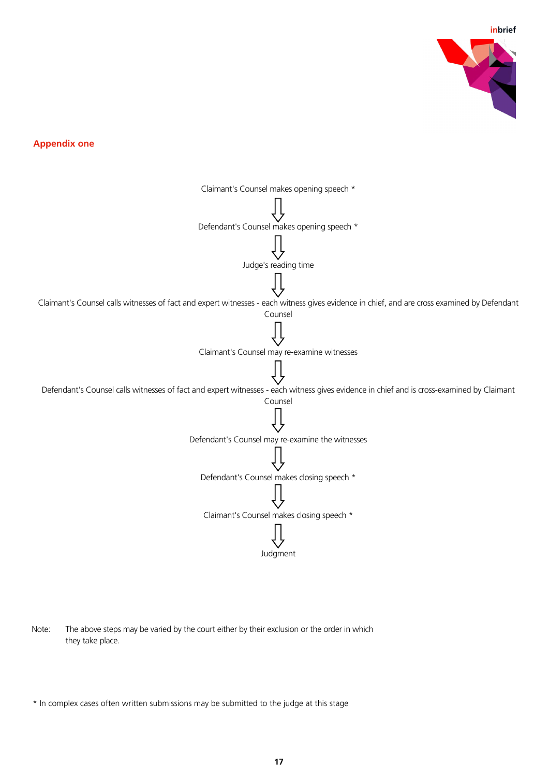**inbrief**



**Appendix 1 Appendix one** 



Note: The above steps may be varied by the court either by their exclusion or the order in which they take place.

\* In complex cases often written submissions may be submitted to the judge at this stage